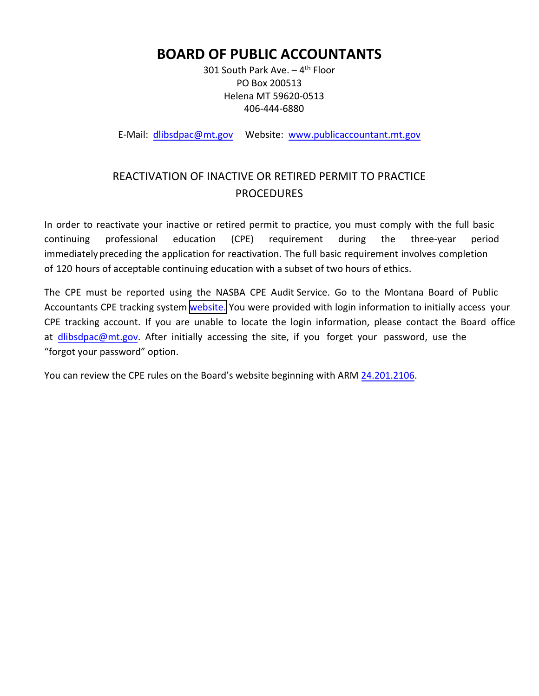# **BOARD OF PUBLIC ACCOUNTANTS**

301 South Park Ave.  $-4$ <sup>th</sup> Floor PO Box 200513 Helena MT 59620‐0513 406‐444‐6880

E-Mail: dlibsdpac@mt.gov Website: www.publicaccountant.mt.gov

## REACTIVATION OF INACTIVE OR RETIRED PERMIT TO PRACTICE PROCEDURES

In order to reactivate your inactive or retired permit to practice, you must comply with the full basic continuing professional education (CPE) requirement during the three‐year period immediately preceding the application for reactivation. The full basic requirement involves completion of 120 hours of acceptable continuing education with a subset of two hours of ethics.

The CPE must be reported using the NASBA CPE Audit Service. Go to the Montana Board of Public Accountants CPE tracking system [website.](https://auth.nasba.org/auth/realms/REALM_NASBA/protocol/openid-connect/auth?response_type=code&client_id=CLIENT_CPEAS_APPLOGIN&redirect_uri=https%3A%2F%2Fcpeauditservice.nasba.org%2Fsso%2Flogin&state=0e1a1c1f-71db-4969-8c8c-3a79f3212e44&login=true&scope=openid) You were provided with login information to initially access your CPE tracking account. If you are unable to locate the login information, please contact the Board office at [dlibsdpac@mt.gov.](mailto:dlibsdpac@mt.gov) After initially accessing the site, if you forget your password, use the "forgot your password" option.

You can review the CPE rules on the Board's website beginning with ARM [24.201.2106](http://www.mtrules.org/gateway/RuleNo.asp?RN=24%2E201%2E2106).